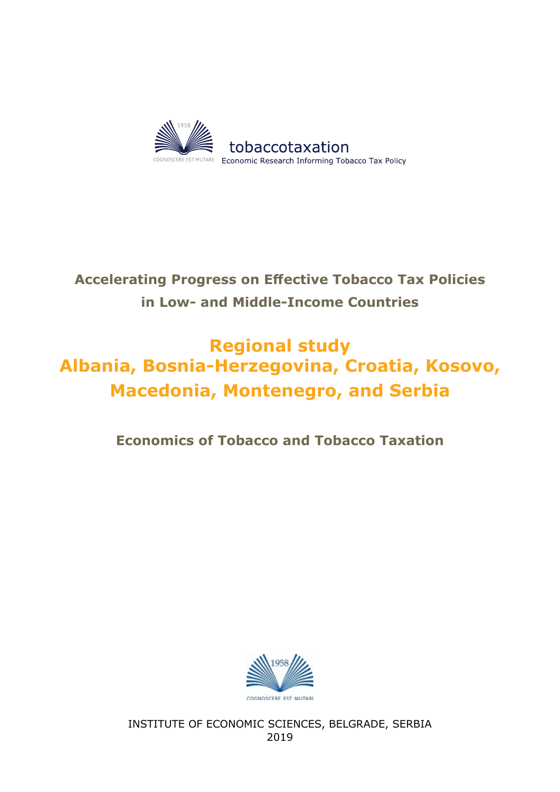

# **Accelerating Progress on Effective Tobacco Tax Policies in Low- and Middle-Income Countries**

# **Regional study Albania, Bosnia-Herzegovina, Croatia, Kosovo, Macedonia, Montenegro, and Serbia**

### **Economics of Tobacco and Tobacco Taxation**



INSTITUTE OF ECONOMIC SCIENCES, BELGRADE, SERBIA 2019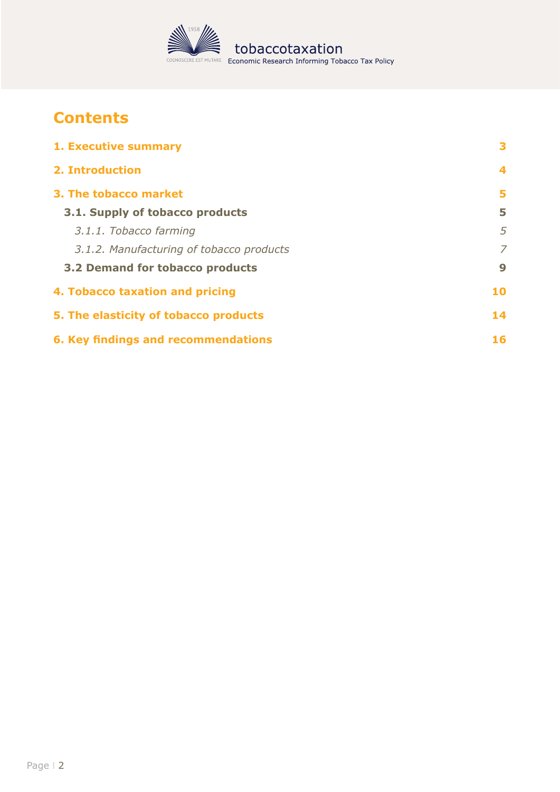

# **Contents**

| 1. Executive summary                       | 3  |
|--------------------------------------------|----|
| 2. Introduction                            | 4  |
| 3. The tobacco market                      | 5  |
| 3.1. Supply of tobacco products            | 5  |
| 3.1.1. Tobacco farming                     | 5  |
| 3.1.2. Manufacturing of tobacco products   | 7  |
| 3.2 Demand for tobacco products            | 9  |
| 4. Tobacco taxation and pricing            | 10 |
| 5. The elasticity of tobacco products      | 14 |
| <b>6. Key findings and recommendations</b> | 16 |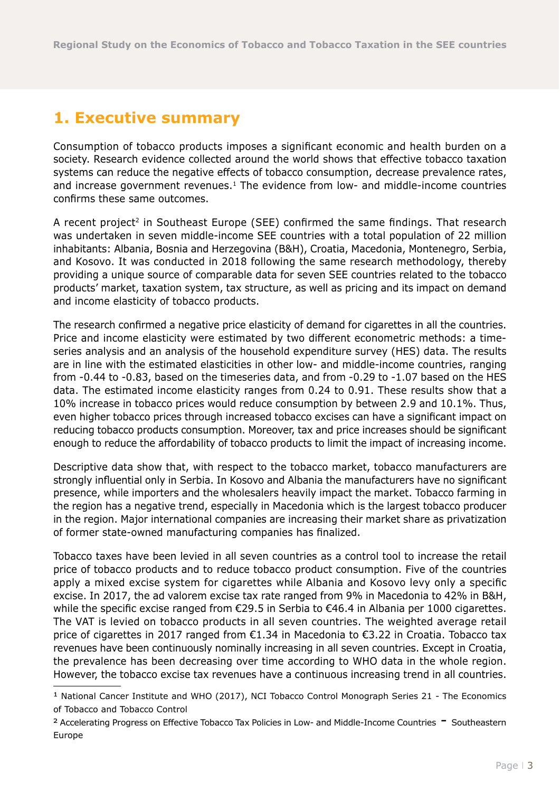# <span id="page-2-0"></span>**1. Executive summary**

Consumption of tobacco products imposes a significant economic and health burden on a society. Research evidence collected around the world shows that effective tobacco taxation systems can reduce the negative effects of tobacco consumption, decrease prevalence rates, and increase government revenues.<sup>1</sup> The evidence from low- and middle-income countries confirms these same outcomes.

A recent project<sup>2</sup> in Southeast Europe (SEE) confirmed the same findings. That research was undertaken in seven middle-income SEE countries with a total population of 22 million inhabitants: Albania, Bosnia and Herzegovina (B&H), Croatia, Macedonia, Montenegro, Serbia, and Kosovo. It was conducted in 2018 following the same research methodology, thereby providing a unique source of comparable data for seven SEE countries related to the tobacco products' market, taxation system, tax structure, as well as pricing and its impact on demand and income elasticity of tobacco products.

The research confirmed a negative price elasticity of demand for cigarettes in all the countries. Price and income elasticity were estimated by two different econometric methods: a timeseries analysis and an analysis of the household expenditure survey (HES) data. The results are in line with the estimated elasticities in other low- and middle-income countries, ranging from -0.44 to -0.83, based on the timeseries data, and from -0.29 to -1.07 based on the HES data. The estimated income elasticity ranges from 0.24 to 0.91. These results show that a 10% increase in tobacco prices would reduce consumption by between 2.9 and 10.1%. Thus, even higher tobacco prices through increased tobacco excises can have a significant impact on reducing tobacco products consumption. Moreover, tax and price increases should be significant enough to reduce the affordability of tobacco products to limit the impact of increasing income.

Descriptive data show that, with respect to the tobacco market, tobacco manufacturers are strongly influential only in Serbia. In Kosovo and Albania the manufacturers have no significant presence, while importers and the wholesalers heavily impact the market. Tobacco farming in the region has a negative trend, especially in Macedonia which is the largest tobacco producer in the region. Major international companies are increasing their market share as privatization of former state-owned manufacturing companies has finalized.

Tobacco taxes have been levied in all seven countries as a control tool to increase the retail price of tobacco products and to reduce tobacco product consumption. Five of the countries apply a mixed excise system for cigarettes while Albania and Kosovo levy only a specific excise. In 2017, the ad valorem excise tax rate ranged from 9% in Macedonia to 42% in B&H, while the specific excise ranged from €29.5 in Serbia to €46.4 in Albania per 1000 cigarettes. The VAT is levied on tobacco products in all seven countries. The weighted average retail price of cigarettes in 2017 ranged from €1.34 in Macedonia to €3.22 in Croatia. Tobacco tax revenues have been continuously nominally increasing in all seven countries. Except in Croatia, the prevalence has been decreasing over time according to WHO data in the whole region. However, the tobacco excise tax revenues have a continuous increasing trend in all countries.

<sup>1</sup> National Cancer Institute and WHO (2017), NCI Tobacco Control Monograph Series 21 - The Economics of Tobacco and Tobacco Control

<sup>&</sup>lt;sup>2</sup> Accelerating Progress on Effective Tobacco Tax Policies in Low- and Middle-Income Countries <sup>-</sup> Southeastern Europe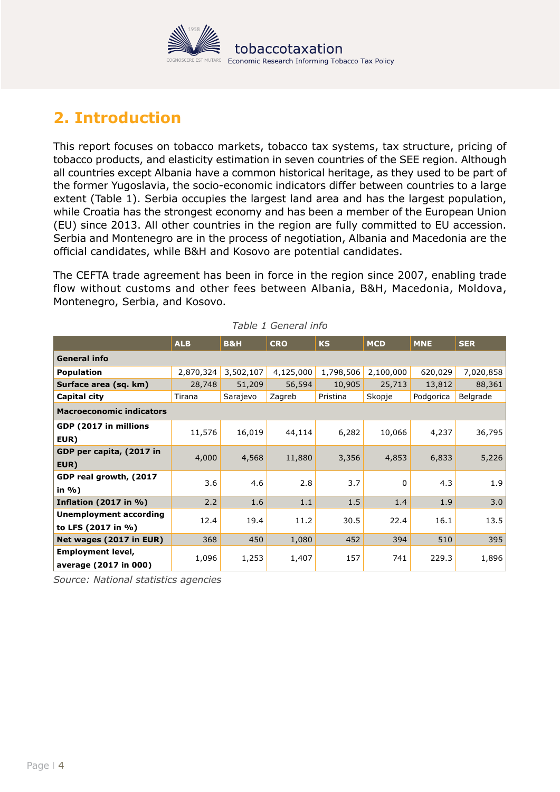

# <span id="page-3-0"></span>**2. Introduction**

This report focuses on tobacco markets, tobacco tax systems, tax structure, pricing of tobacco products, and elasticity estimation in seven countries of the SEE region. Although all countries except Albania have a common historical heritage, as they used to be part of the former Yugoslavia, the socio-economic indicators differ between countries to a large extent [\(Table 1\)](#page-3-1). Serbia occupies the largest land area and has the largest population, while Croatia has the strongest economy and has been a member of the European Union (EU) since 2013. All other countries in the region are fully committed to EU accession. Serbia and Montenegro are in the process of negotiation, Albania and Macedonia are the official candidates, while B&H and Kosovo are potential candidates.

The CEFTA trade agreement has been in force in the region since 2007, enabling trade flow without customs and other fees between Albania, B&H, Macedonia, Moldova, Montenegro, Serbia, and Kosovo.

|                                                   | <b>ALB</b> | <b>B&amp;H</b> | <b>CRO</b> | <b>KS</b> | <b>MCD</b> | <b>MNE</b> | <b>SER</b> |  |
|---------------------------------------------------|------------|----------------|------------|-----------|------------|------------|------------|--|
| <b>General info</b>                               |            |                |            |           |            |            |            |  |
| <b>Population</b>                                 | 2,870,324  | 3,502,107      | 4,125,000  | 1,798,506 | 2,100,000  | 620,029    | 7,020,858  |  |
| Surface area (sq. km)                             | 28,748     | 51,209         | 56,594     | 10,905    | 25,713     | 13,812     | 88,361     |  |
| Capital city                                      | Tirana     | Sarajevo       | Zagreb     | Pristina  | Skopje     | Podgorica  | Belgrade   |  |
| <b>Macroeconomic indicators</b>                   |            |                |            |           |            |            |            |  |
| GDP (2017 in millions<br>EUR)                     | 11,576     | 16,019         | 44,114     | 6,282     | 10,066     | 4,237      | 36,795     |  |
| GDP per capita, (2017 in<br>EUR)                  | 4,000      | 4,568          | 11,880     | 3,356     | 4,853      | 6,833      | 5,226      |  |
| GDP real growth, (2017<br>in %)                   | 3.6        | 4.6            | 2.8        | 3.7       | 0          | 4.3        | 1.9        |  |
| <b>Inflation (2017 in %)</b>                      | 2.2        | 1.6            | 1.1        | 1.5       | 1.4        | 1.9        | 3.0        |  |
| Unemployment according<br>to LFS (2017 in %)      | 12.4       | 19.4           | 11.2       | 30.5      | 22.4       | 16.1       | 13.5       |  |
| Net wages (2017 in EUR)                           | 368        | 450            | 1,080      | 452       | 394        | 510        | 395        |  |
| <b>Employment level,</b><br>average (2017 in 000) | 1,096      | 1,253          | 1,407      | 157       | 741        | 229.3      | 1,896      |  |

<span id="page-3-1"></span>*Table 1 General info*

*Source: National statistics agencies*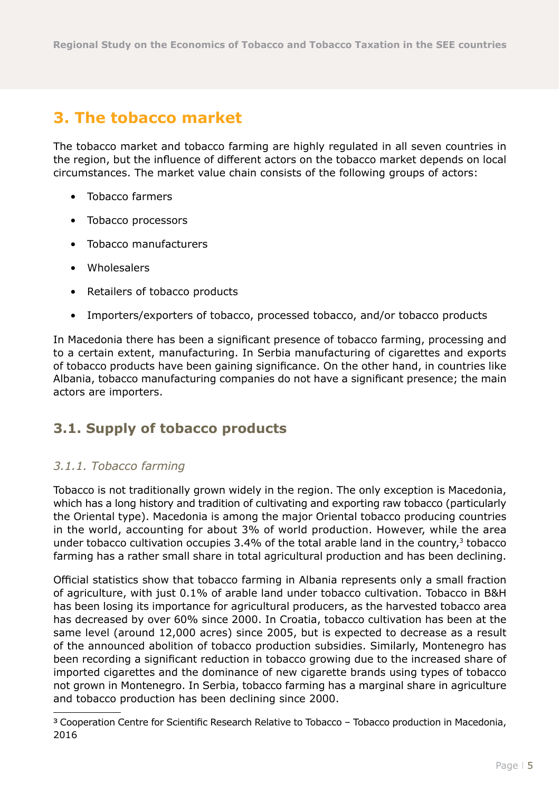# <span id="page-4-0"></span>**3. The tobacco market**

The tobacco market and tobacco farming are highly regulated in all seven countries in the region, but the influence of different actors on the tobacco market depends on local circumstances. The market value chain consists of the following groups of actors:

- Tobacco farmers
- Tobacco processors
- Tobacco manufacturers
- Wholesalers
- Retailers of tobacco products
- Importers/exporters of tobacco, processed tobacco, and/or tobacco products

In Macedonia there has been a significant presence of tobacco farming, processing and to a certain extent, manufacturing. In Serbia manufacturing of cigarettes and exports of tobacco products have been gaining significance. On the other hand, in countries like Albania, tobacco manufacturing companies do not have a significant presence; the main actors are importers.

### **3.1. Supply of tobacco products**

#### *3.1.1. Tobacco farming*

Tobacco is not traditionally grown widely in the region. The only exception is Macedonia, which has a long history and tradition of cultivating and exporting raw tobacco (particularly the Oriental type). Macedonia is among the major Oriental tobacco producing countries in the world, accounting for about 3% of world production. However, while the area under tobacco cultivation occupies  $3.4%$  of the total arable land in the country, $3$  tobacco farming has a rather small share in total agricultural production and has been declining.

Official statistics show that tobacco farming in Albania represents only a small fraction of agriculture, with just 0.1% of arable land under tobacco cultivation. Tobacco in B&H has been losing its importance for agricultural producers, as the harvested tobacco area has decreased by over 60% since 2000. In Croatia, tobacco cultivation has been at the same level (around 12,000 acres) since 2005, but is expected to decrease as a result of the announced abolition of tobacco production subsidies. Similarly, Montenegro has been recording a significant reduction in tobacco growing due to the increased share of imported cigarettes and the dominance of new cigarette brands using types of tobacco not grown in Montenegro. In Serbia, tobacco farming has a marginal share in agriculture and tobacco production has been declining since 2000.

<sup>3</sup> Cooperation Centre for Scientific Research Relative to Tobacco – Tobacco production in Macedonia, 2016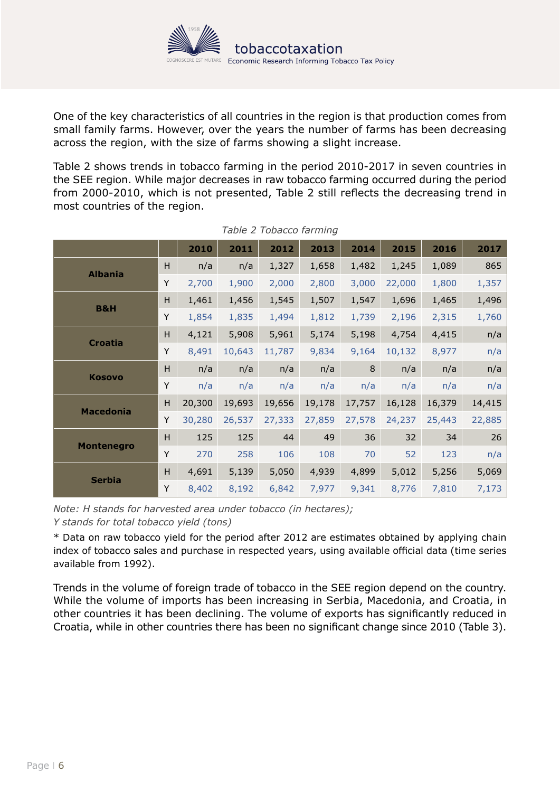

One of the key characteristics of all countries in the region is that production comes from small family farms. However, over the years the number of farms has been decreasing across the region, with the size of farms showing a slight increase.

Table 2 shows trends in tobacco farming in the period 2010-2017 in seven countries in the SEE region. While major decreases in raw tobacco farming occurred during the period from 2000-2010, which is not presented, Table 2 still reflects the decreasing trend in most countries of the region.

|                   |   | 2010   | 2011   | 2012   | 2013   | 2014   | 2015   | 2016   | 2017   |
|-------------------|---|--------|--------|--------|--------|--------|--------|--------|--------|
| <b>Albania</b>    | Н | n/a    | n/a    | 1,327  | 1,658  | 1,482  | 1,245  | 1,089  | 865    |
|                   | Y | 2,700  | 1,900  | 2,000  | 2,800  | 3,000  | 22,000 | 1,800  | 1,357  |
|                   | н | 1,461  | 1,456  | 1,545  | 1,507  | 1,547  | 1,696  | 1,465  | 1,496  |
| <b>B&amp;H</b>    | Υ | 1,854  | 1,835  | 1,494  | 1,812  | 1,739  | 2,196  | 2,315  | 1,760  |
|                   | н | 4,121  | 5,908  | 5,961  | 5,174  | 5,198  | 4,754  | 4,415  | n/a    |
| <b>Croatia</b>    | Y | 8,491  | 10,643 | 11,787 | 9,834  | 9,164  | 10,132 | 8,977  | n/a    |
|                   | H | n/a    | n/a    | n/a    | n/a    | 8      | n/a    | n/a    | n/a    |
| <b>Kosovo</b>     | Y | n/a    | n/a    | n/a    | n/a    | n/a    | n/a    | n/a    | n/a    |
|                   | н | 20,300 | 19,693 | 19,656 | 19,178 | 17,757 | 16,128 | 16,379 | 14,415 |
| <b>Macedonia</b>  | Y | 30,280 | 26,537 | 27,333 | 27,859 | 27,578 | 24,237 | 25,443 | 22,885 |
| <b>Montenegro</b> | H | 125    | 125    | 44     | 49     | 36     | 32     | 34     | 26     |
|                   | Y | 270    | 258    | 106    | 108    | 70     | 52     | 123    | n/a    |
| <b>Serbia</b>     | H | 4,691  | 5,139  | 5,050  | 4,939  | 4,899  | 5,012  | 5,256  | 5,069  |
|                   | Y | 8,402  | 8,192  | 6,842  | 7,977  | 9,341  | 8,776  | 7,810  | 7,173  |

*Table 2 Tobacco farming*

*Note: H stands for harvested area under tobacco (in hectares);* 

*Y stands for total tobacco yield (tons)*

\* Data on raw tobacco yield for the period after 2012 are estimates obtained by applying chain index of tobacco sales and purchase in respected years, using available official data (time series available from 1992).

Trends in the volume of foreign trade of tobacco in the SEE region depend on the country. While the volume of imports has been increasing in Serbia, Macedonia, and Croatia, in other countries it has been declining. The volume of exports has significantly reduced in Croatia, while in other countries there has been no significant change since 2010 [\(Table 3\)](#page-6-1).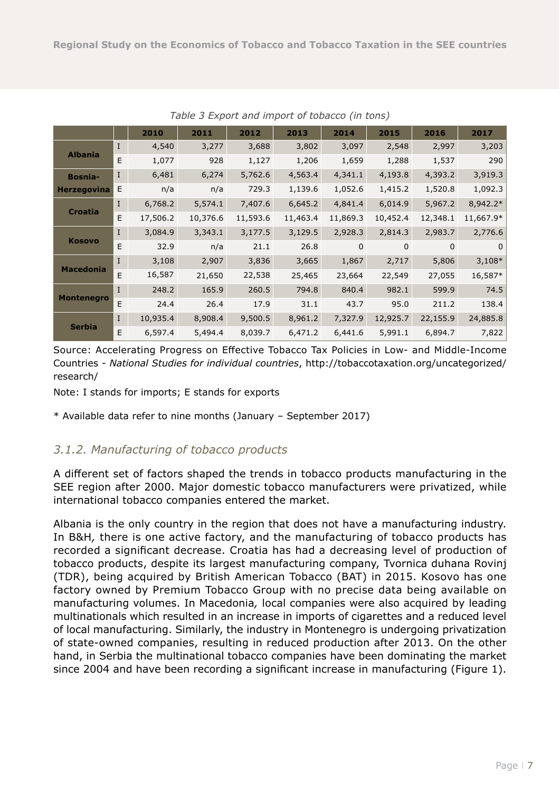<span id="page-6-0"></span>

|                    |              | 2010     | 2011     | 2012     | 2013     | 2014     | 2015        | 2016     | 2017      |
|--------------------|--------------|----------|----------|----------|----------|----------|-------------|----------|-----------|
|                    | $\mathbf I$  | 4,540    | 3,277    | 3,688    | 3,802    | 3,097    | 2,548       | 2,997    | 3,203     |
| <b>Albania</b>     | E            | 1,077    | 928      | 1,127    | 1,206    | 1,659    | 1,288       | 1,537    | 290       |
| <b>Bosnia-</b>     | $\bf{I}$     | 6,481    | 6,274    | 5,762.6  | 4,563.4  | 4,341.1  | 4,193.8     | 4,393.2  | 3,919.3   |
| <b>Herzegovina</b> | Е            | n/a      | n/a      | 729.3    | 1,139.6  | 1,052.6  | 1,415.2     | 1,520.8  | 1,092.3   |
|                    | L            | 6,768.2  | 5,574.1  | 7,407.6  | 6,645.2  | 4,841.4  | 6,014.9     | 5,967.2  | 8,942.2*  |
| <b>Croatia</b>     | E.           | 17,506.2 | 10,376.6 | 11,593.6 | 11,463.4 | 11,869.3 | 10,452.4    | 12,348.1 | 11,667.9* |
|                    | $\bf{I}$     | 3,084.9  | 3,343.1  | 3,177.5  | 3,129.5  | 2,928.3  | 2,814.3     | 2,983.7  | 2,776.6   |
| <b>Kosovo</b>      | E            | 32.9     | n/a      | 21.1     | 26.8     | $\Omega$ | $\mathbf 0$ | $\Omega$ | $\Omega$  |
|                    | $\mathbf{I}$ | 3,108    | 2,907    | 3,836    | 3,665    | 1,867    | 2,717       | 5,806    | $3,108*$  |
| <b>Macedonia</b>   | E            | 16,587   | 21,650   | 22,538   | 25,465   | 23,664   | 22,549      | 27,055   | 16,587*   |
|                    | $\mathbf{I}$ | 248.2    | 165.9    | 260.5    | 794.8    | 840.4    | 982.1       | 599.9    | 74.5      |
| <b>Montenegro</b>  | E            | 24.4     | 26.4     | 17.9     | 31.1     | 43.7     | 95.0        | 211.2    | 138.4     |
|                    | $\mathbf{I}$ | 10,935.4 | 8,908.4  | 9,500.5  | 8,961.2  | 7,327.9  | 12,925.7    | 22,155.9 | 24,885.8  |
| <b>Serbia</b>      | E            | 6,597.4  | 5,494.4  | 8,039.7  | 6,471.2  | 6,441.6  | 5,991.1     | 6,894.7  | 7,822     |

<span id="page-6-1"></span>*Table 3 Export and import of tobacco (in tons)*

Source: Accelerating Progress on Effective Tobacco Tax Policies in Low- and Middle-Income Countries - *National Studies for individual countries*, [http://tobaccotaxation.org/uncategorized/](http://tobaccotaxation.org/uncategorized/research/) [research/](http://tobaccotaxation.org/uncategorized/research/)

Note: I stands for imports; E stands for exports

\* Available data refer to nine months (January – September 2017)

#### *3.1.2. Manufacturing of tobacco products*

A different set of factors shaped the trends in tobacco products manufacturing in the SEE region after 2000. Major domestic tobacco manufacturers were privatized, while international tobacco companies entered the market.

Albania is the only country in the region that does not have a manufacturing industry. In B&H*,* there is one active factory, and the manufacturing of tobacco products has recorded a significant decrease. Croatia has had a decreasing level of production of tobacco products, despite its largest manufacturing company, Tvornica duhana Rovinj (TDR), being acquired by British American Tobacco (BAT) in 2015. Kosovo has one factory owned by Premium Tobacco Group with no precise data being available on manufacturing volumes. In Macedonia*,* local companies were also acquired by leading multinationals which resulted in an increase in imports of cigarettes and a reduced level of local manufacturing. Similarly, the industry in Montenegro is undergoing privatization of state-owned companies, resulting in reduced production after 2013. On the other hand, in Serbia the multinational tobacco companies have been dominating the market since 2004 and have been recording a significant increase in manufacturing [\(Figure 1\)](#page-7-0).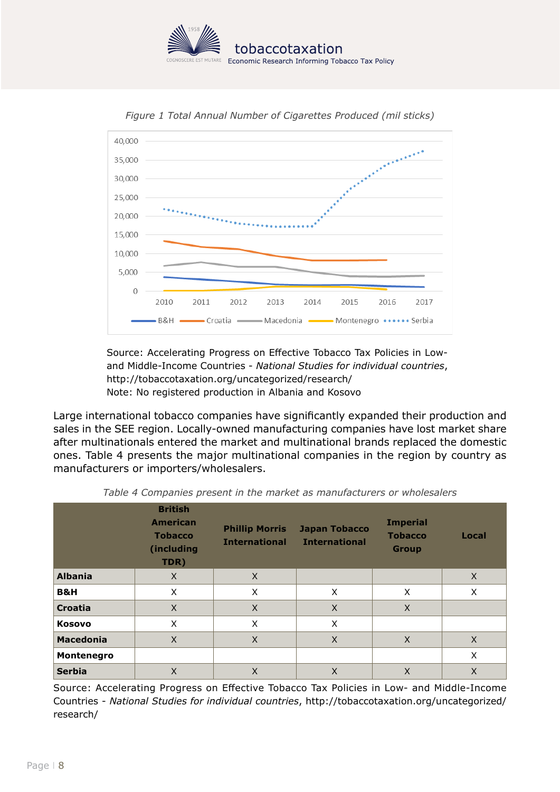



<span id="page-7-0"></span>*Figure 1 Total Annual Number of Cigarettes Produced (mil sticks)*

Source: Accelerating Progress on Effective Tobacco Tax Policies in Lowand Middle-Income Countries - *National Studies for individual countries*, <http://tobaccotaxation.org/uncategorized/research/> Note: No registered production in Albania and Kosovo

Large international tobacco companies have significantly expanded their production and sales in the SEE region. Locally-owned manufacturing companies have lost market share after multinationals entered the market and multinational brands replaced the domestic ones. [Table 4](#page-7-1) presents the major multinational companies in the region by country as manufacturers or importers/wholesalers.

|                  | <b>British</b><br><b>American</b><br><b>Tobacco</b><br>(including<br>TDR) | <b>Phillip Morris</b><br><b>International</b> | <b>Japan Tobacco</b><br><b>International</b> | <b>Imperial</b><br><b>Tobacco</b><br><b>Group</b> | Local |
|------------------|---------------------------------------------------------------------------|-----------------------------------------------|----------------------------------------------|---------------------------------------------------|-------|
| <b>Albania</b>   | X                                                                         | $\times$                                      |                                              |                                                   | X     |
| <b>B&amp;H</b>   | X                                                                         | X                                             | X                                            | X                                                 | X     |
| <b>Croatia</b>   | X                                                                         | $\times$                                      | X                                            | X                                                 |       |
| <b>Kosovo</b>    | X                                                                         | X                                             | X                                            |                                                   |       |
| <b>Macedonia</b> | X                                                                         | $\times$                                      | $\times$                                     | $\times$                                          | X     |
| Montenegro       |                                                                           |                                               |                                              |                                                   | X     |
| <b>Serbia</b>    | X                                                                         | X                                             | X                                            | X                                                 | X     |

<span id="page-7-1"></span>*Table 4 Companies present in the market as manufacturers or wholesalers* 

Source: Accelerating Progress on Effective Tobacco Tax Policies in Low- and Middle-Income Countries - *National Studies for individual countries*, [http://tobaccotaxation.org/uncategorized/](http://tobaccotaxation.org/uncategorized/research/) [research/](http://tobaccotaxation.org/uncategorized/research/)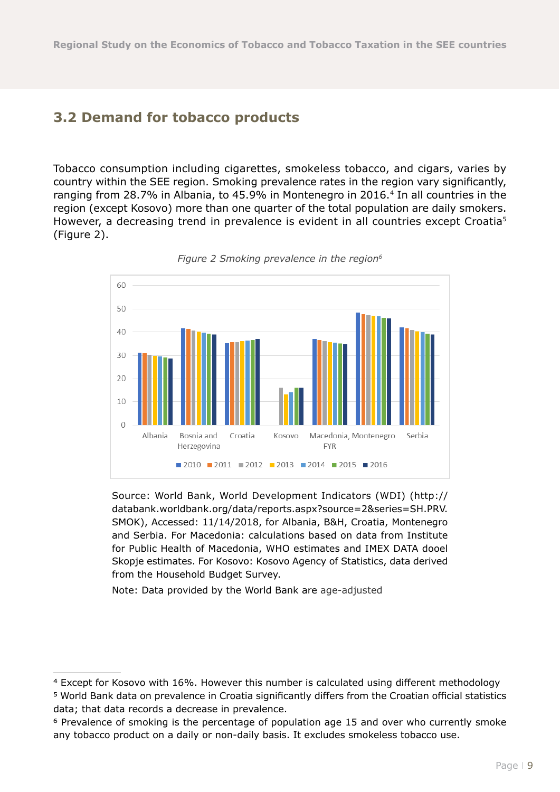#### <span id="page-8-0"></span>**3.2 Demand for tobacco products**

Tobacco consumption including cigarettes, smokeless tobacco, and cigars, varies by country within the SEE region. Smoking prevalence rates in the region vary significantly, ranging from 28.7% in Albania, to 45.9% in Montenegro in 2016.4 In all countries in the region (except Kosovo) more than one quarter of the total population are daily smokers. However, a decreasing trend in prevalence is evident in all countries except Croatia<sup>5</sup> (Figure 2).



*Figure 2 Smoking prevalence in the region6*

Source: World Bank, World Development Indicators (WDI) [\(http://](http://databank.worldbank.org/data/reports.aspx?source=2&series=SH.PRV.SMOK) [databank.worldbank.org/data/reports.aspx?source=2&series=SH.PRV.](http://databank.worldbank.org/data/reports.aspx?source=2&series=SH.PRV.SMOK) [SMOK](http://databank.worldbank.org/data/reports.aspx?source=2&series=SH.PRV.SMOK)), Accessed: 11/14/2018, for Albania, B&H, Croatia, Montenegro and Serbia. For Macedonia: calculations based on data from Institute for Public Health of Macedonia, WHO estimates and IMEX DATA dooel Skopje estimates. For Kosovo: Kosovo Agency of Statistics, data derived from the Household Budget Survey.

Note: Data provided by the World Bank are age-adjusted

5 World Bank data on prevalence in Croatia significantly differs from the Croatian official statistics data; that data records a decrease in prevalence.

<sup>4</sup> Except for Kosovo with 16%. However this number is calculated using different methodology

<sup>6</sup> Prevalence of smoking is the percentage of population age 15 and over who currently smoke any tobacco product on a daily or non-daily basis. It excludes smokeless tobacco use.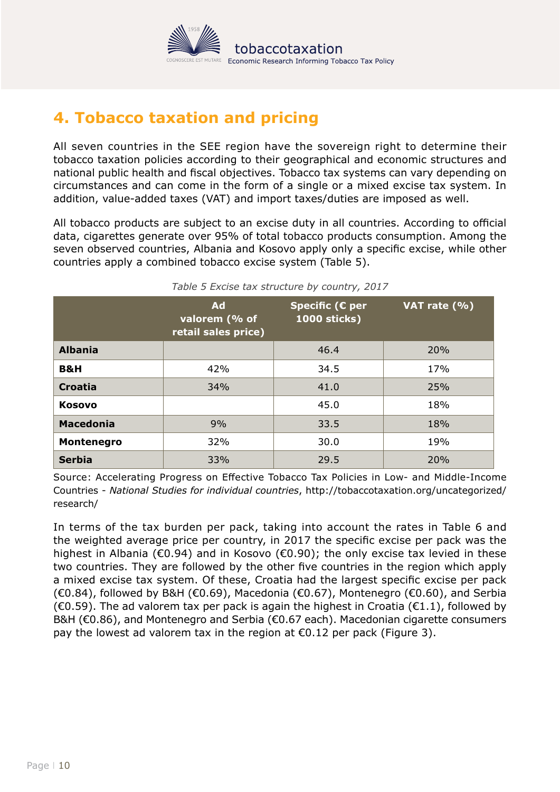

# <span id="page-9-0"></span>**4. Tobacco taxation and pricing**

All seven countries in the SEE region have the sovereign right to determine their tobacco taxation policies according to their geographical and economic structures and national public health and fiscal objectives. Tobacco tax systems can vary depending on circumstances and can come in the form of a single or a mixed excise tax system. In addition, value-added taxes (VAT) and import taxes/duties are imposed as well.

All tobacco products are subject to an excise duty in all countries. According to official data, cigarettes generate over 95% of total tobacco products consumption. Among the seven observed countries, Albania and Kosovo apply only a specific excise, while other countries apply a combined tobacco excise system (Table 5).

|                   | <b>Ad</b><br>valorem (% of<br>retail sales price) | Specific ( $E$ per<br><b>1000 sticks)</b> | VAT rate $(% )$ |  |
|-------------------|---------------------------------------------------|-------------------------------------------|-----------------|--|
| <b>Albania</b>    |                                                   | 46.4                                      | 20%             |  |
| <b>B&amp;H</b>    | 42%                                               | 34.5                                      | 17%             |  |
| <b>Croatia</b>    | 34%                                               | 41.0                                      | 25%             |  |
| <b>Kosovo</b>     |                                                   | 45.0                                      | 18%             |  |
| <b>Macedonia</b>  | 9%                                                | 33.5                                      | 18%             |  |
| <b>Montenegro</b> | 32%                                               | 30.0                                      | 19%             |  |
| <b>Serbia</b>     | 33%                                               | 29.5                                      | 20%             |  |

*Table 5 Excise tax structure by country, 2017* 

Source: Accelerating Progress on Effective Tobacco Tax Policies in Low- and Middle-Income Countries - *National Studies for individual countries*, [http://tobaccotaxation.org/uncategorized/](http://tobaccotaxation.org/uncategorized/research/) [research/](http://tobaccotaxation.org/uncategorized/research/)

In terms of the tax burden per pack, taking into account the rates in Table 6 and the weighted average price per country, in 2017 the specific excise per pack was the highest in Albania (€0.94) and in Kosovo (€0.90); the only excise tax levied in these two countries. They are followed by the other five countries in the region which apply a mixed excise tax system. Of these, Croatia had the largest specific excise per pack  $(€0.84)$ , followed by B&H  $(€0.69)$ , Macedonia  $(€0.67)$ , Montenegro  $(€0.60)$ , and Serbia  $(€0.59)$ . The ad valorem tax per pack is again the highest in Croatia  $(€1.1)$ , followed by B&H (€0.86), and Montenegro and Serbia (€0.67 each). Macedonian cigarette consumers pay the lowest ad valorem tax in the region at  $\epsilon$ 0.12 per pack (Figure 3).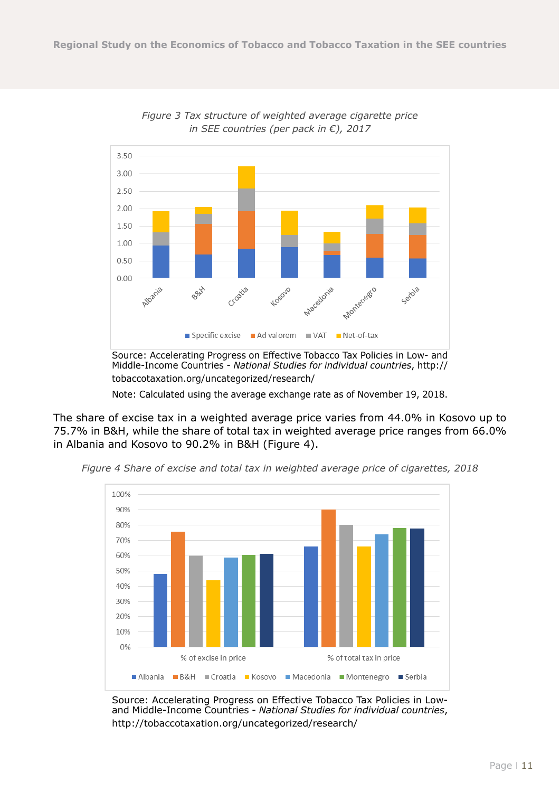

*Figure 3 Tax structure of weighted average cigarette price in SEE countries (per pack in €), 2017*

Middle-Income Countries - *National Studies for individual countries*, [http://](http://tobaccotaxation.org/uncategorized/research/) [tobaccotaxation.org/uncategorized/research/](http://tobaccotaxation.org/uncategorized/research/)

Note: Calculated using the average exchange rate as of November 19, 2018.

The share of excise tax in a weighted average price varies from 44.0% in Kosovo up to 75.7% in B&H, while the share of total tax in weighted average price ranges from 66.0% in Albania and Kosovo to 90.2% in B&H (Figure 4).



*Figure 4 Share of excise and total tax in weighted average price of cigarettes, 2018*

Source: Accelerating Progress on Effective Tobacco Tax Policies in Lowand Middle-Income Countries - *National Studies for individual countries*, <http://tobaccotaxation.org/uncategorized/research/>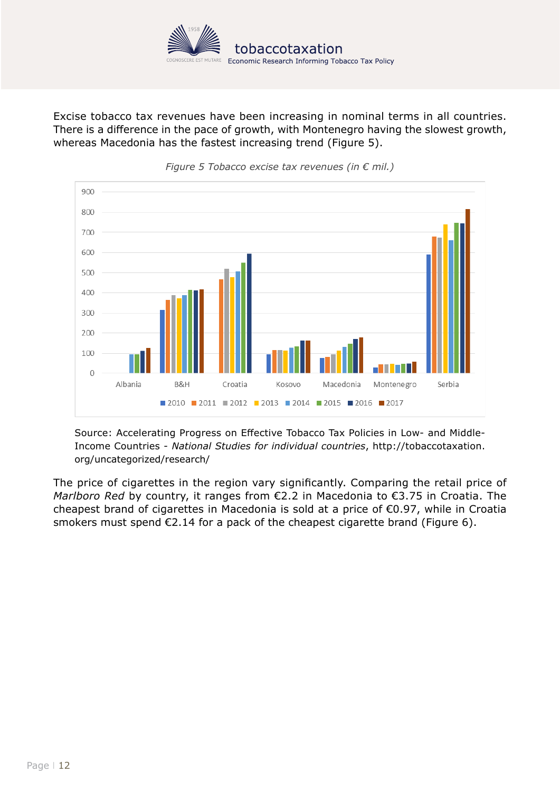

Excise tobacco tax revenues have been increasing in nominal terms in all countries. There is a difference in the pace of growth, with Montenegro having the slowest growth, whereas Macedonia has the fastest increasing trend (Figure 5).



*Figure 5 Tobacco excise tax revenues (in € mil.)*

Source: Accelerating Progress on Effective Tobacco Tax Policies in Low- and Middle-Income Countries - *National Studies for individual countries*, [http://tobaccotaxation.](http://tobaccotaxation.org/uncategorized/research/) [org/uncategorized/research/](http://tobaccotaxation.org/uncategorized/research/)

The price of cigarettes in the region vary significantly. Comparing the retail price of *Marlboro Red* by country, it ranges from €2.2 in Macedonia to €3.75 in Croatia. The cheapest brand of cigarettes in Macedonia is sold at a price of €0.97, while in Croatia smokers must spend €2.14 for a pack of the cheapest cigarette brand (Figure 6).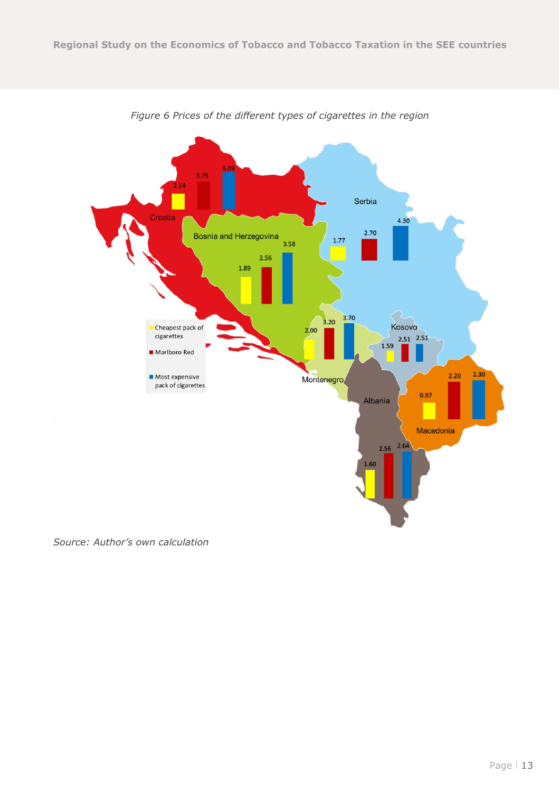

*Figure 6 Prices of the different types of cigarettes in the region*

*Source: Author's own calculation*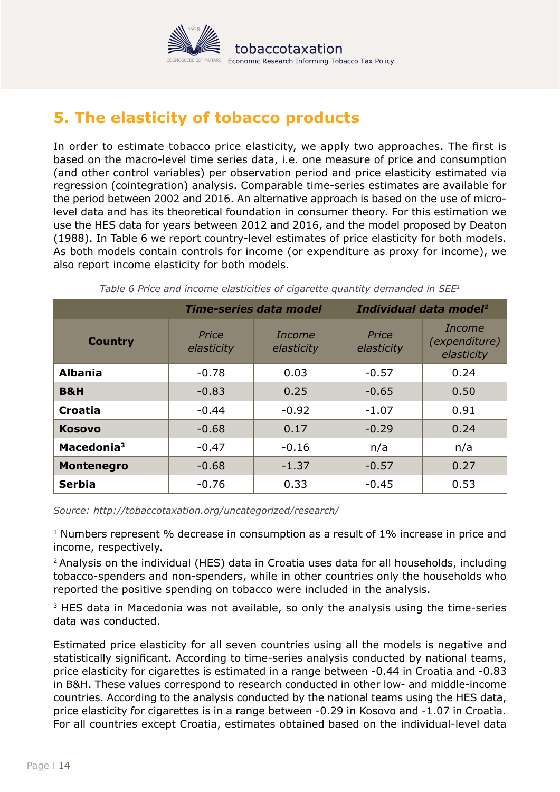

# <span id="page-13-0"></span>**5. The elasticity of tobacco products**

In order to estimate tobacco price elasticity, we apply two approaches. The first is based on the macro-level time series data, i.e. one measure of price and consumption (and other control variables) per observation period and price elasticity estimated via regression (cointegration) analysis. Comparable time-series estimates are available for the period between 2002 and 2016. An alternative approach is based on the use of microlevel data and has its theoretical foundation in consumer theory. For this estimation we use the HES data for years between 2012 and 2016, and the model proposed by Deaton (1988). In Table 6 we report country-level estimates of price elasticity for both models. As both models contain controls for income (or expenditure as proxy for income), we also report income elasticity for both models.

|                        |                     | <b>Time-series data model</b> |                     | Individual data model <sup>2</sup>           |
|------------------------|---------------------|-------------------------------|---------------------|----------------------------------------------|
| <b>Country</b>         | Price<br>elasticity | Income<br>elasticity          | Price<br>elasticity | Income<br><i>(expenditure)</i><br>elasticity |
| <b>Albania</b>         | $-0.78$             | 0.03                          | $-0.57$             | 0.24                                         |
| <b>B&amp;H</b>         | $-0.83$             | 0.25                          | $-0.65$             | 0.50                                         |
| Croatia                | $-0.44$             | $-0.92$                       | $-1.07$             | 0.91                                         |
| <b>Kosovo</b>          | $-0.68$             | 0.17                          | $-0.29$             | 0.24                                         |
| Macedonia <sup>3</sup> | $-0.47$             | $-0.16$                       | n/a                 | n/a                                          |
| <b>Montenegro</b>      | $-0.68$             | $-1.37$                       | $-0.57$             | 0.27                                         |
| <b>Serbia</b>          | $-0.76$             | 0.33                          | $-0.45$             | 0.53                                         |

<span id="page-13-1"></span>*Table 6 Price and income elasticities of cigarette quantity demanded in SEE1*

*Source: http://tobaccotaxation.org/uncategorized/research/*

<sup>1</sup> Numbers represent % decrease in consumption as a result of 1% increase in price and income, respectively.

<sup>2</sup> Analysis on the individual (HES) data in Croatia uses data for all households, including tobacco-spenders and non-spenders, while in other countries only the households who reported the positive spending on tobacco were included in the analysis.

<sup>3</sup> HES data in Macedonia was not available, so only the analysis using the time-series data was conducted.

Estimated price elasticity for all seven countries using all the models is negative and statistically significant. According to time-series analysis conducted by national teams, price elasticity for cigarettes is estimated in a range between -0.44 in Croatia and -0.83 in B&H. These values correspond to research conducted in other low- and middle-income countries. According to the analysis conducted by the national teams using the HES data, price elasticity for cigarettes is in a range between -0.29 in Kosovo and -1.07 in Croatia. For all countries except Croatia, estimates obtained based on the individual-level data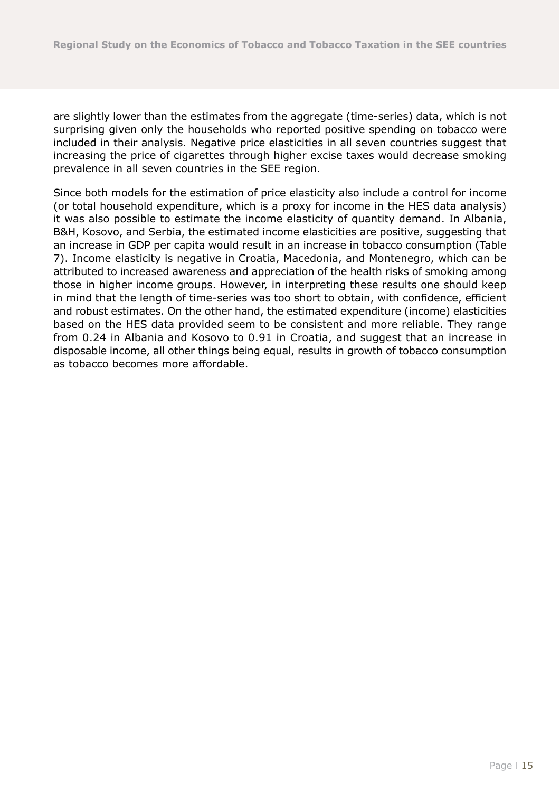are slightly lower than the estimates from the aggregate (time-series) data, which is not surprising given only the households who reported positive spending on tobacco were included in their analysis. Negative price elasticities in all seven countries suggest that increasing the price of cigarettes through higher excise taxes would decrease smoking prevalence in all seven countries in the SEE region.

Since both models for the estimation of price elasticity also include a control for income (or total household expenditure, which is a proxy for income in the HES data analysis) it was also possible to estimate the income elasticity of quantity demand. In Albania, B&H, Kosovo, and Serbia, the estimated income elasticities are positive, suggesting that an increase in GDP per capita would result in an increase in tobacco consumption [\(Table](#page-13-1)  [7\)](#page-13-1). Income elasticity is negative in Croatia, Macedonia, and Montenegro, which can be attributed to increased awareness and appreciation of the health risks of smoking among those in higher income groups. However, in interpreting these results one should keep in mind that the length of time-series was too short to obtain, with confidence, efficient and robust estimates. On the other hand, the estimated expenditure (income) elasticities based on the HES data provided seem to be consistent and more reliable. They range from 0.24 in Albania and Kosovo to 0.91 in Croatia, and suggest that an increase in disposable income, all other things being equal, results in growth of tobacco consumption as tobacco becomes more affordable.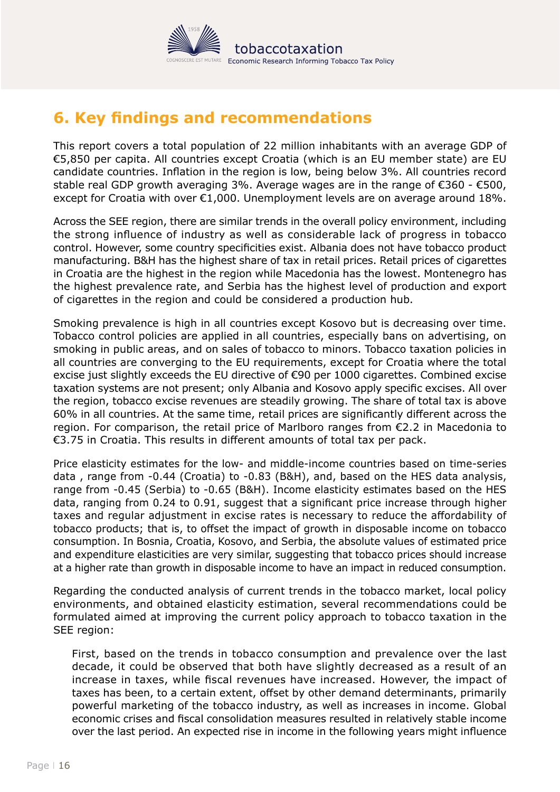

## <span id="page-15-0"></span>**6. Key findings and recommendations**

This report covers a total population of 22 million inhabitants with an average GDP of €5,850 per capita. All countries except Croatia (which is an EU member state) are EU candidate countries. Inflation in the region is low, being below 3%. All countries record stable real GDP growth averaging 3%. Average wages are in the range of  $\epsilon$ 360 -  $\epsilon$ 500, except for Croatia with over  $E1,000$ . Unemployment levels are on average around 18%.

Across the SEE region, there are similar trends in the overall policy environment, including the strong influence of industry as well as considerable lack of progress in tobacco control. However, some country specificities exist. Albania does not have tobacco product manufacturing. B&H has the highest share of tax in retail prices. Retail prices of cigarettes in Croatia are the highest in the region while Macedonia has the lowest. Montenegro has the highest prevalence rate, and Serbia has the highest level of production and export of cigarettes in the region and could be considered a production hub.

Smoking prevalence is high in all countries except Kosovo but is decreasing over time. Tobacco control policies are applied in all countries, especially bans on advertising, on smoking in public areas, and on sales of tobacco to minors. Tobacco taxation policies in all countries are converging to the EU requirements, except for Croatia where the total excise just slightly exceeds the EU directive of €90 per 1000 cigarettes. Combined excise taxation systems are not present; only Albania and Kosovo apply specific excises. All over the region, tobacco excise revenues are steadily growing. The share of total tax is above 60% in all countries. At the same time, retail prices are significantly different across the region. For comparison, the retail price of Marlboro ranges from €2.2 in Macedonia to €3.75 in Croatia. This results in different amounts of total tax per pack.

Price elasticity estimates for the low- and middle-income countries based on time-series data , range from -0.44 (Croatia) to -0.83 (B&H), and, based on the HES data analysis, range from -0.45 (Serbia) to -0.65 (B&H). Income elasticity estimates based on the HES data, ranging from 0.24 to 0.91, suggest that a significant price increase through higher taxes and regular adjustment in excise rates is necessary to reduce the affordability of tobacco products; that is, to offset the impact of growth in disposable income on tobacco consumption. In Bosnia, Croatia, Kosovo, and Serbia, the absolute values of estimated price and expenditure elasticities are very similar, suggesting that tobacco prices should increase at a higher rate than growth in disposable income to have an impact in reduced consumption.

Regarding the conducted analysis of current trends in the tobacco market, local policy environments, and obtained elasticity estimation, several recommendations could be formulated aimed at improving the current policy approach to tobacco taxation in the SEE region:

First, based on the trends in tobacco consumption and prevalence over the last decade, it could be observed that both have slightly decreased as a result of an increase in taxes, while fiscal revenues have increased. However, the impact of taxes has been, to a certain extent, offset by other demand determinants, primarily powerful marketing of the tobacco industry, as well as increases in income. Global economic crises and fiscal consolidation measures resulted in relatively stable income over the last period. An expected rise in income in the following years might influence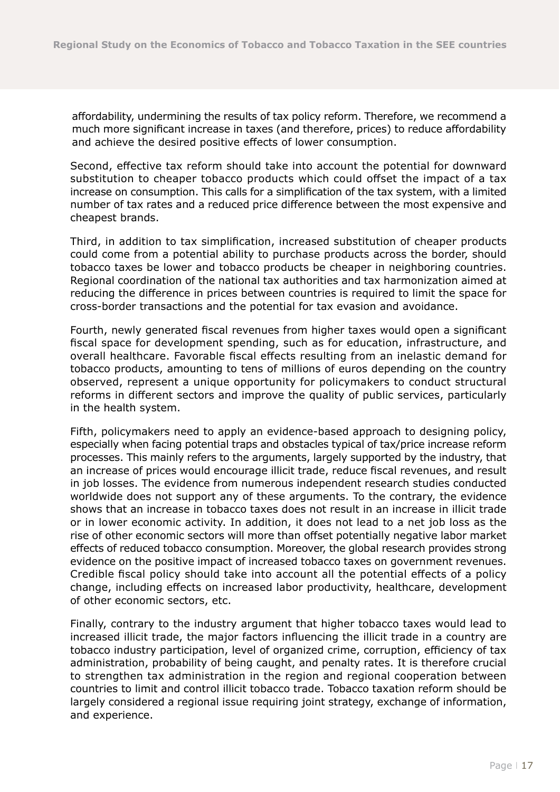affordability, undermining the results of tax policy reform. Therefore, we recommend a much more significant increase in taxes (and therefore, prices) to reduce affordability and achieve the desired positive effects of lower consumption.

Second, effective tax reform should take into account the potential for downward substitution to cheaper tobacco products which could offset the impact of a tax increase on consumption. This calls for a simplification of the tax system, with a limited number of tax rates and a reduced price difference between the most expensive and cheapest brands.

Third, in addition to tax simplification, increased substitution of cheaper products could come from a potential ability to purchase products across the border, should tobacco taxes be lower and tobacco products be cheaper in neighboring countries. Regional coordination of the national tax authorities and tax harmonization aimed at reducing the difference in prices between countries is required to limit the space for cross-border transactions and the potential for tax evasion and avoidance.

Fourth, newly generated fiscal revenues from higher taxes would open a significant fiscal space for development spending, such as for education, infrastructure, and overall healthcare. Favorable fiscal effects resulting from an inelastic demand for tobacco products, amounting to tens of millions of euros depending on the country observed, represent a unique opportunity for policymakers to conduct structural reforms in different sectors and improve the quality of public services, particularly in the health system.

Fifth, policymakers need to apply an evidence-based approach to designing policy, especially when facing potential traps and obstacles typical of tax/price increase reform processes. This mainly refers to the arguments, largely supported by the industry, that an increase of prices would encourage illicit trade, reduce fiscal revenues, and result in job losses. The evidence from numerous independent research studies conducted worldwide does not support any of these arguments. To the contrary, the evidence shows that an increase in tobacco taxes does not result in an increase in illicit trade or in lower economic activity. In addition, it does not lead to a net job loss as the rise of other economic sectors will more than offset potentially negative labor market effects of reduced tobacco consumption. Moreover, the global research provides strong evidence on the positive impact of increased tobacco taxes on government revenues. Credible fiscal policy should take into account all the potential effects of a policy change, including effects on increased labor productivity, healthcare, development of other economic sectors, etc.

Finally, contrary to the industry argument that higher tobacco taxes would lead to increased illicit trade, the major factors influencing the illicit trade in a country are tobacco industry participation, level of organized crime, corruption, efficiency of tax administration, probability of being caught, and penalty rates. It is therefore crucial to strengthen tax administration in the region and regional cooperation between countries to limit and control illicit tobacco trade. Tobacco taxation reform should be largely considered a regional issue requiring joint strategy, exchange of information, and experience.